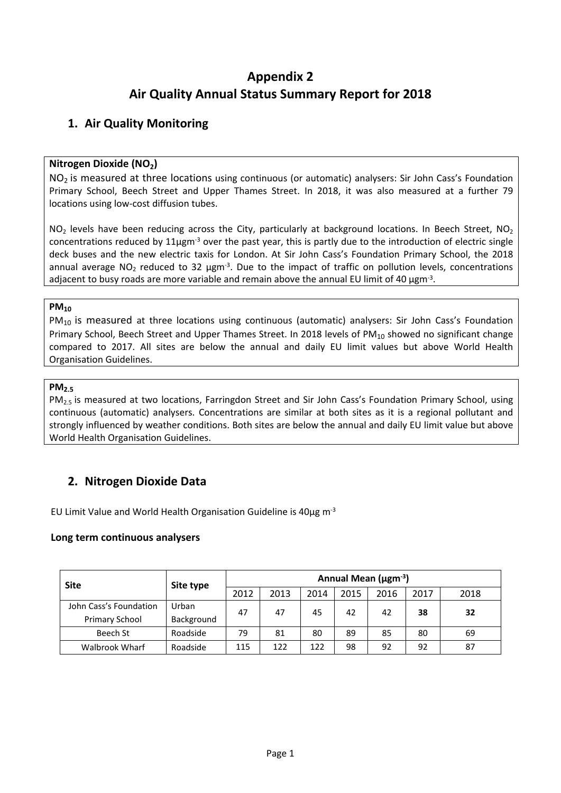# **Appendix 2 Air Quality Annual Status Summary Report for 2018**

## **1. Air Quality Monitoring**

#### **Nitrogen Dioxide (NO2)**

NO<sub>2</sub> is measured at three locations using continuous (or automatic) analysers: Sir John Cass's Foundation Primary School, Beech Street and Upper Thames Street. In 2018, it was also measured at a further 79 locations using low-cost diffusion tubes.

 $NO<sub>2</sub>$  levels have been reducing across the City, particularly at background locations. In Beech Street,  $NO<sub>2</sub>$ concentrations reduced by 11µgm-3 over the past year, this is partly due to the introduction of electric single deck buses and the new electric taxis for London. At Sir John Cass's Foundation Primary School, the 2018 annual average NO<sub>2</sub> reduced to 32  $\mu$ gm<sup>-3</sup>. Due to the impact of traffic on pollution levels, concentrations adjacent to busy roads are more variable and remain above the annual EU limit of 40  $\mu$ gm<sup>-3</sup>.

#### **PM<sup>10</sup>**

PM<sub>10</sub> is measured at three locations using continuous (automatic) analysers: Sir John Cass's Foundation Primary School, Beech Street and Upper Thames Street. In 2018 levels of PM<sub>10</sub> showed no significant change compared to 2017. All sites are below the annual and daily EU limit values but above World Health Organisation Guidelines.

#### **PM2.5**

PM<sub>2.5</sub> is measured at two locations, Farringdon Street and Sir John Cass's Foundation Primary School, using continuous (automatic) analysers. Concentrations are similar at both sites as it is a regional pollutant and strongly influenced by weather conditions. Both sites are below the annual and daily EU limit value but above World Health Organisation Guidelines.

# **2. Nitrogen Dioxide Data**

EU Limit Value and World Health Organisation Guideline is 40μg m-3

#### **Long term continuous analysers**

| <b>Site</b>            | Site type  | Annual Mean ( $\mu$ gm <sup>-3</sup> ) |      |      |      |      |      |      |
|------------------------|------------|----------------------------------------|------|------|------|------|------|------|
|                        |            | 2012                                   | 2013 | 2014 | 2015 | 2016 | 2017 | 2018 |
| John Cass's Foundation | Urban      | 47                                     | 47   | 45   | 42   | 42   | 38   | 32   |
| Primary School         | Background |                                        |      |      |      |      |      |      |
| Beech St               | Roadside   | 79                                     | 81   | 80   | 89   | 85   | 80   | 69   |
| Walbrook Wharf         | Roadside   | 115                                    | 122  | 122  | 98   | 92   | 92   | 87   |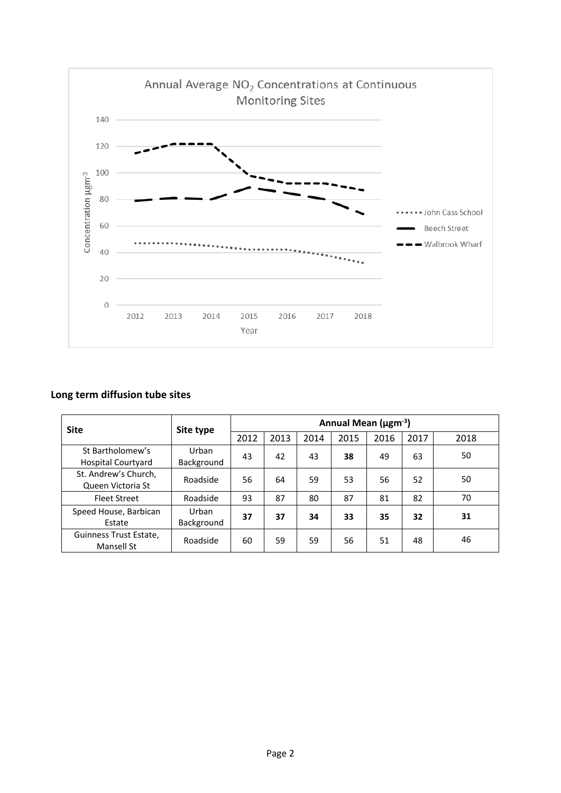

## **Long term diffusion tube sites**

| <b>Site</b>                                   | Site type           | Annual Mean (µgm-3) |      |      |      |      |      |      |
|-----------------------------------------------|---------------------|---------------------|------|------|------|------|------|------|
|                                               |                     | 2012                | 2013 | 2014 | 2015 | 2016 | 2017 | 2018 |
| St Bartholomew's<br><b>Hospital Courtyard</b> | Urban<br>Background | 43                  | 42   | 43   | 38   | 49   | 63   | 50   |
| St. Andrew's Church,<br>Queen Victoria St     | Roadside            | 56                  | 64   | 59   | 53   | 56   | 52   | 50   |
| <b>Fleet Street</b>                           | Roadside            | 93                  | 87   | 80   | 87   | 81   | 82   | 70   |
| Speed House, Barbican<br>Estate               | Urban<br>Background | 37                  | 37   | 34   | 33   | 35   | 32   | 31   |
| Guinness Trust Estate,<br>Mansell St          | Roadside            | 60                  | 59   | 59   | 56   | 51   | 48   | 46   |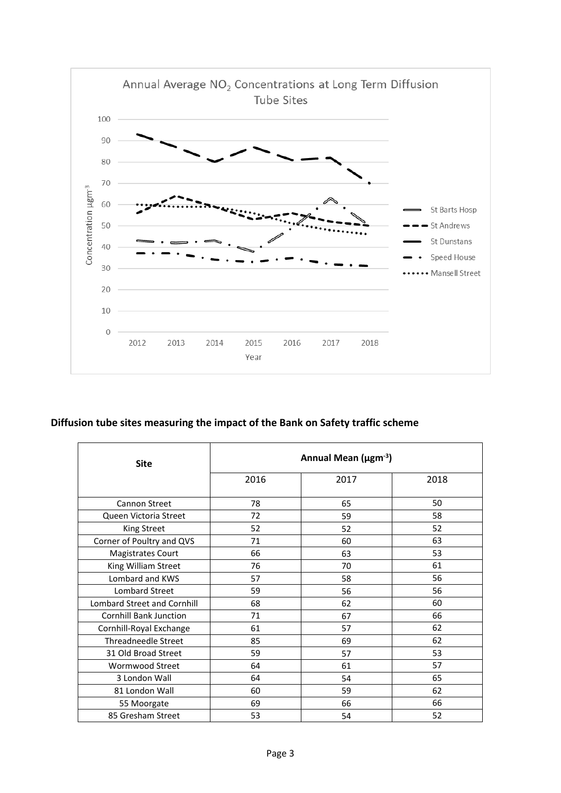

## **Diffusion tube sites measuring the impact of the Bank on Safety traffic scheme**

| <b>Site</b>                        | Annual Mean ( $\mu$ gm <sup>-3</sup> ) |      |      |  |  |  |
|------------------------------------|----------------------------------------|------|------|--|--|--|
|                                    | 2016                                   | 2017 | 2018 |  |  |  |
| Cannon Street                      | 78                                     | 65   | 50   |  |  |  |
| Queen Victoria Street              | 72                                     | 59   | 58   |  |  |  |
| King Street                        | 52                                     | 52   | 52   |  |  |  |
| Corner of Poultry and QVS          | 71                                     | 60   | 63   |  |  |  |
| <b>Magistrates Court</b>           | 66                                     | 63   | 53   |  |  |  |
| King William Street                | 76                                     | 70   | 61   |  |  |  |
| Lombard and KWS                    | 57                                     | 58   | 56   |  |  |  |
| Lombard Street                     | 59                                     | 56   | 56   |  |  |  |
| <b>Lombard Street and Cornhill</b> | 68                                     | 62   | 60   |  |  |  |
| <b>Cornhill Bank Junction</b>      | 71                                     | 67   | 66   |  |  |  |
| Cornhill-Royal Exchange            | 61                                     | 57   | 62   |  |  |  |
| <b>Threadneedle Street</b>         | 85                                     | 69   | 62   |  |  |  |
| 31 Old Broad Street                | 59                                     | 57   | 53   |  |  |  |
| <b>Wormwood Street</b>             | 64                                     | 61   | 57   |  |  |  |
| 3 London Wall                      | 64                                     | 54   | 65   |  |  |  |
| 81 London Wall                     | 60                                     | 59   | 62   |  |  |  |
| 55 Moorgate                        | 69                                     | 66   | 66   |  |  |  |
| 85 Gresham Street                  | 53                                     | 54   | 52   |  |  |  |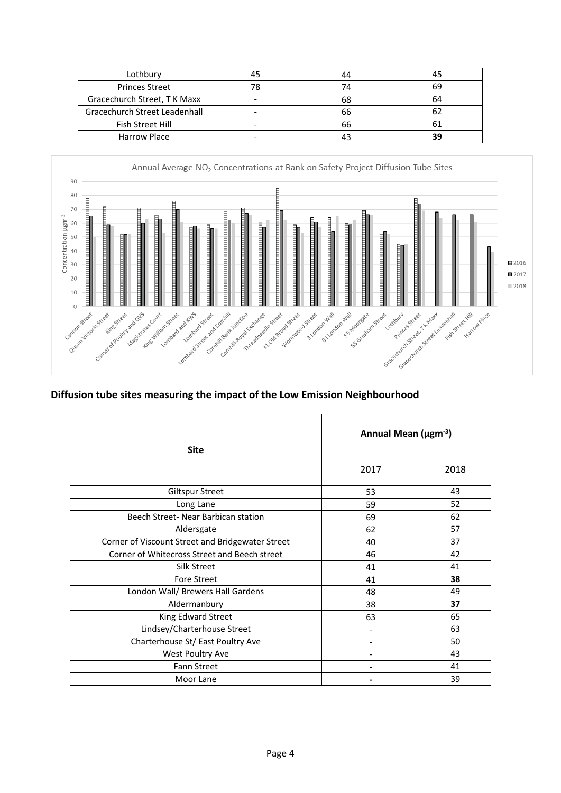| Lothbury                      |                          | 44 |    |
|-------------------------------|--------------------------|----|----|
| <b>Princes Street</b>         | 78                       | 74 | 69 |
| Gracechurch Street, T K Maxx  | -                        | 68 | 64 |
| Gracechurch Street Leadenhall |                          | 66 |    |
| Fish Street Hill              | $\overline{\phantom{0}}$ | 66 | 61 |
| <b>Harrow Place</b>           | -                        |    | 39 |



#### **Diffusion tube sites measuring the impact of the Low Emission Neighbourhood**

| <b>Site</b>                                      | Annual Mean ( $\mu$ gm <sup>-3</sup> ) |      |  |
|--------------------------------------------------|----------------------------------------|------|--|
|                                                  | 2017                                   | 2018 |  |
| Giltspur Street                                  | 53                                     | 43   |  |
| Long Lane                                        | 59                                     | 52   |  |
| Beech Street- Near Barbican station              | 69                                     | 62   |  |
| Aldersgate                                       | 62                                     | 57   |  |
| Corner of Viscount Street and Bridgewater Street | 40                                     | 37   |  |
| Corner of Whitecross Street and Beech street     | 46                                     | 42   |  |
| Silk Street                                      | 41                                     | 41   |  |
| <b>Fore Street</b>                               | 41                                     | 38   |  |
| London Wall/ Brewers Hall Gardens                | 48                                     | 49   |  |
| Aldermanbury                                     | 38                                     | 37   |  |
| King Edward Street                               | 63                                     | 65   |  |
| Lindsey/Charterhouse Street                      | $\overline{\phantom{0}}$               | 63   |  |
| Charterhouse St/ East Poultry Ave                |                                        |      |  |
| West Poultry Ave                                 | $\overline{\phantom{0}}$               | 43   |  |
| Fann Street                                      | 41                                     |      |  |
| Moor Lane                                        |                                        |      |  |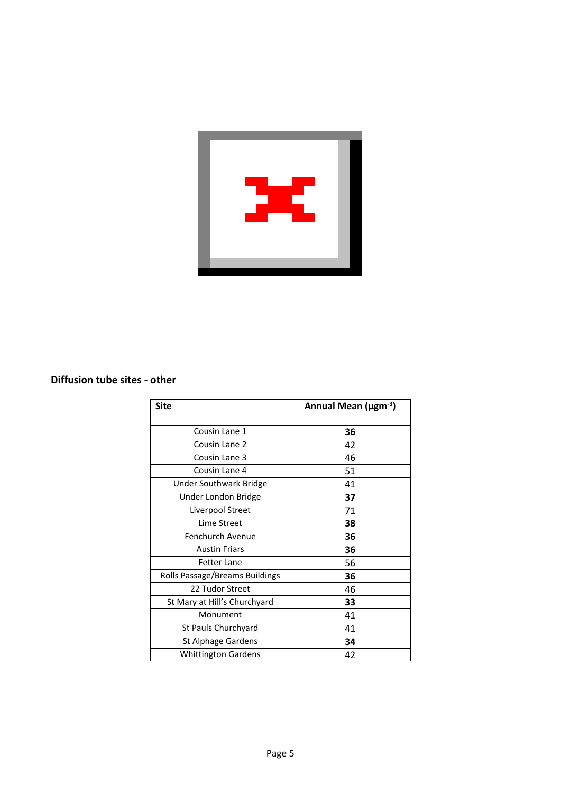

## **Diffusion tube sites - other**

| <b>Site</b>                    | Annual Mean ( $\mu$ gm <sup>-3</sup> ) |
|--------------------------------|----------------------------------------|
| Cousin Lane 1                  | 36                                     |
| Cousin Lane 2                  | 42                                     |
| Cousin Lane 3                  | 46                                     |
| Cousin Lane 4                  | 51                                     |
| <b>Under Southwark Bridge</b>  | 41                                     |
| Under London Bridge            | 37                                     |
| Liverpool Street               | 71                                     |
| Lime Street                    | 38                                     |
| Fenchurch Avenue               | 36                                     |
| <b>Austin Friars</b>           | 36                                     |
| <b>Fetter Lane</b>             | 56                                     |
| Rolls Passage/Breams Buildings | 36                                     |
| 22 Tudor Street                | 46                                     |
| St Mary at Hill's Churchyard   | 33                                     |
| Monument                       | 41                                     |
| St Pauls Churchyard            | 41                                     |
| St Alphage Gardens             | 34                                     |
| <b>Whittington Gardens</b>     | 42                                     |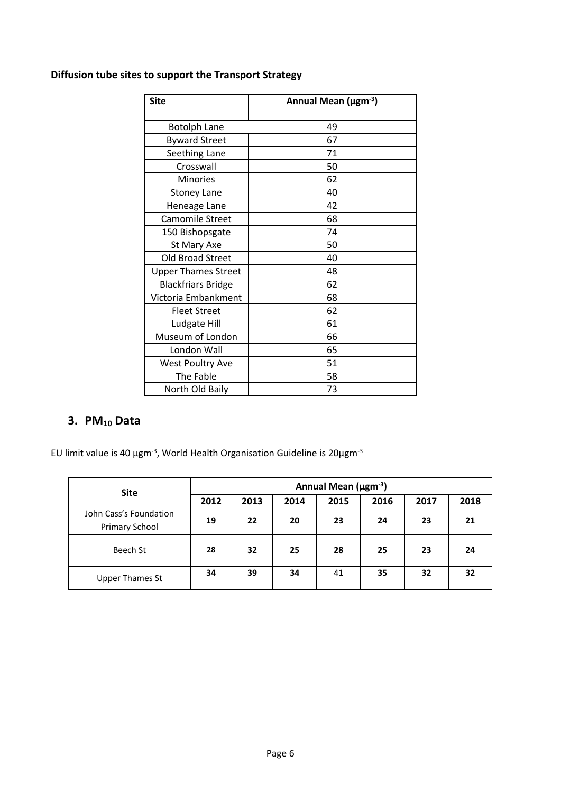## **Diffusion tube sites to support the Transport Strategy**

| <b>Site</b>                | Annual Mean (µgm-3) |
|----------------------------|---------------------|
| <b>Botolph Lane</b>        | 49                  |
| <b>Byward Street</b>       | 67                  |
| Seething Lane              | 71                  |
| Crosswall                  | 50                  |
| <b>Minories</b>            | 62                  |
| <b>Stoney Lane</b>         | 40                  |
| Heneage Lane               | 42                  |
| <b>Camomile Street</b>     | 68                  |
| 150 Bishopsgate            | 74                  |
| St Mary Axe                | 50                  |
| Old Broad Street           | 40                  |
| <b>Upper Thames Street</b> | 48                  |
| <b>Blackfriars Bridge</b>  | 62                  |
| Victoria Embankment        | 68                  |
| <b>Fleet Street</b>        | 62                  |
| Ludgate Hill               | 61                  |
| Museum of London           | 66                  |
| London Wall                | 65                  |
| <b>West Poultry Ave</b>    | 51                  |
| The Fable                  | 58                  |
| North Old Baily            | 73                  |

# **3. PM<sup>10</sup> Data**

EU limit value is 40 μgm<sup>-3</sup>, World Health Organisation Guideline is 20μgm<sup>-3</sup>

| <b>Site</b>            | Annual Mean (µgm <sup>-3</sup> ) |      |      |      |      |      |      |  |  |
|------------------------|----------------------------------|------|------|------|------|------|------|--|--|
|                        | 2012                             | 2013 | 2014 | 2015 | 2016 | 2017 | 2018 |  |  |
| John Cass's Foundation | 19                               | 22   | 20   | 23   | 24   | 23   | 21   |  |  |
| Primary School         |                                  |      |      |      |      |      |      |  |  |
| Beech St               | 28                               | 32   | 25   | 28   | 25   | 23   | 24   |  |  |
| <b>Upper Thames St</b> | 34                               | 39   | 34   | 41   | 35   | 32   | 32   |  |  |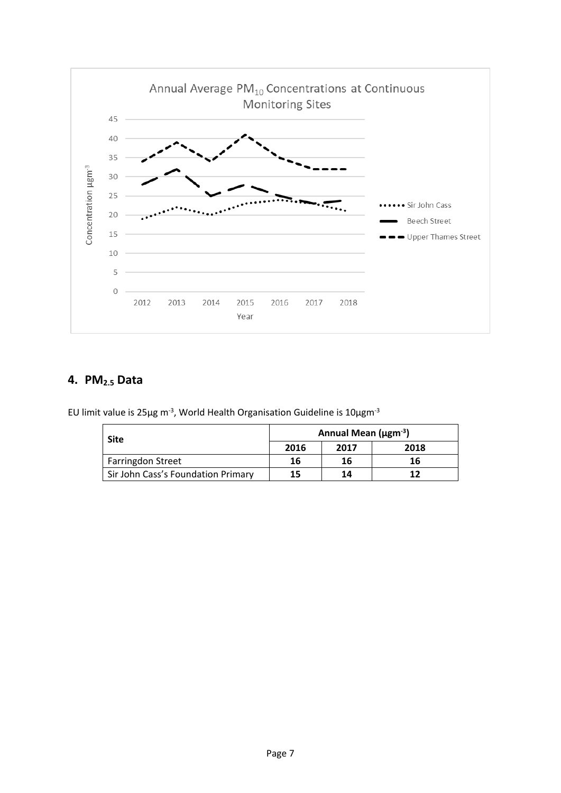

# **4. PM2.5 Data**

EU limit value is 25μg m<sup>-3</sup>, World Health Organisation Guideline is 10μgm<sup>-3</sup>

| Site                               | Annual Mean ( $\mu$ gm <sup>-3</sup> ) |    |    |  |  |
|------------------------------------|----------------------------------------|----|----|--|--|
|                                    | 2017<br>2016<br>2018                   |    |    |  |  |
| <b>Farringdon Street</b>           | 16                                     | 16 | 16 |  |  |
| Sir John Cass's Foundation Primary | 15                                     | 14 | 17 |  |  |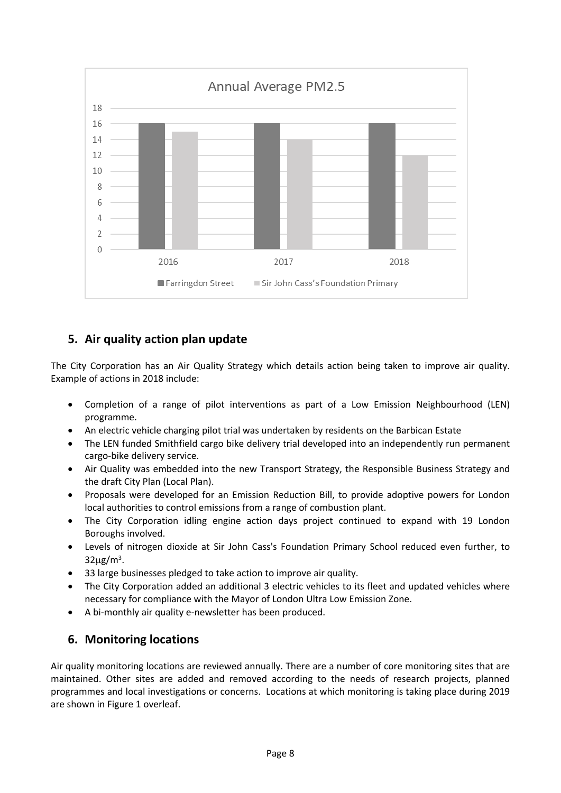

# **5. Air quality action plan update**

The City Corporation has an Air Quality Strategy which details action being taken to improve air quality. Example of actions in 2018 include:

- Completion of a range of pilot interventions as part of a Low Emission Neighbourhood (LEN) programme.
- An electric vehicle charging pilot trial was undertaken by residents on the Barbican Estate
- The LEN funded Smithfield cargo bike delivery trial developed into an independently run permanent cargo-bike delivery service.
- Air Quality was embedded into the new Transport Strategy, the Responsible Business Strategy and the draft City Plan (Local Plan).
- Proposals were developed for an Emission Reduction Bill, to provide adoptive powers for London local authorities to control emissions from a range of combustion plant.
- The City Corporation idling engine action days project continued to expand with 19 London Boroughs involved.
- Levels of nitrogen dioxide at Sir John Cass's Foundation Primary School reduced even further, to  $32\mu$ g/m<sup>3</sup>.
- 33 large businesses pledged to take action to improve air quality.
- The City Corporation added an additional 3 electric vehicles to its fleet and updated vehicles where necessary for compliance with the Mayor of London Ultra Low Emission Zone.
- A bi-monthly air quality e-newsletter has been produced.

### **6. Monitoring locations**

Air quality monitoring locations are reviewed annually. There are a number of core monitoring sites that are maintained. Other sites are added and removed according to the needs of research projects, planned programmes and local investigations or concerns. Locations at which monitoring is taking place during 2019 are shown in Figure 1 overleaf.